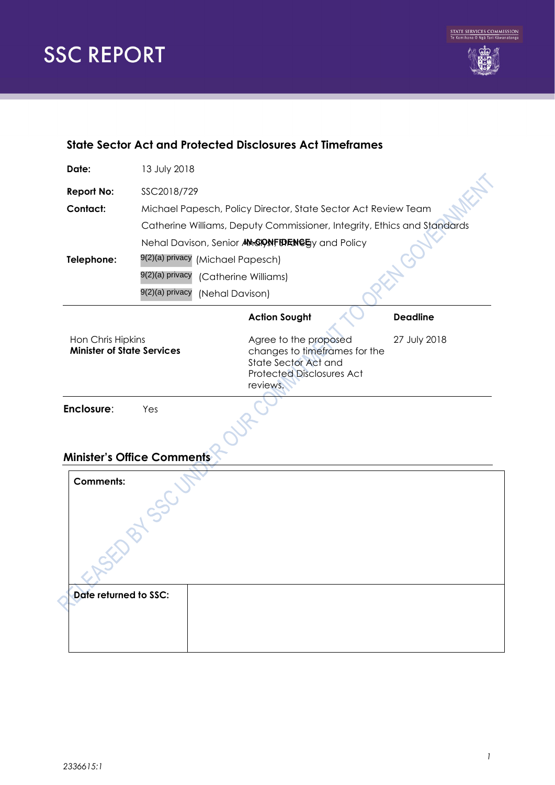

## **State Sector Act and Protected Disclosures Act Timeframes**

| Date:                                                  | 13 July 2018                                                   |                                                                                                                                |                 |  |  |
|--------------------------------------------------------|----------------------------------------------------------------|--------------------------------------------------------------------------------------------------------------------------------|-----------------|--|--|
| <b>Report No:</b>                                      | SSC2018/729                                                    |                                                                                                                                |                 |  |  |
| Contact:                                               | Michael Papesch, Policy Director, State Sector Act Review Team |                                                                                                                                |                 |  |  |
|                                                        |                                                                | Catherine Williams, Deputy Commissioner, Integrity, Ethics and Standards                                                       |                 |  |  |
|                                                        |                                                                | Nehal Davison, Senior AMGIONFIDENGEy and Policy                                                                                |                 |  |  |
| Telephone:                                             | 9(2)(a) privacy (Michael Papesch)                              |                                                                                                                                |                 |  |  |
|                                                        | 9(2)(a) privacy                                                | (Catherine Williams)                                                                                                           |                 |  |  |
|                                                        | 9(2)(a) privacy<br>(Nehal Davison)                             |                                                                                                                                |                 |  |  |
|                                                        |                                                                | <b>Action Sought</b>                                                                                                           | <b>Deadline</b> |  |  |
| Hon Chris Hipkins<br><b>Minister of State Services</b> |                                                                | Agree to the proposed<br>changes to timeframes for the<br>State Sector Act and<br><b>Protected Disclosures Act</b><br>reviews. | 27 July 2018    |  |  |
| Enclosure:                                             | Yes                                                            |                                                                                                                                |                 |  |  |
| <b>Minister's Office Comments</b>                      |                                                                |                                                                                                                                |                 |  |  |
| <b>Comments:</b>                                       |                                                                |                                                                                                                                |                 |  |  |

| Date returned to SSC: |  |
|-----------------------|--|
|                       |  |
|                       |  |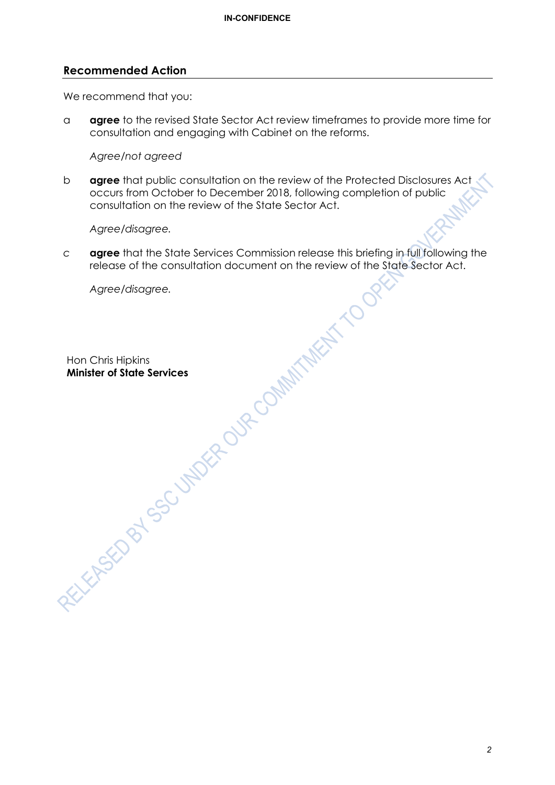#### **Recommended Action**

We recommend that you:

a **agree** to the revised State Sector Act review timeframes to provide more time for consultation and engaging with Cabinet on the reforms.

*Agree/not agreed* 

b **agree** that public consultation on the review of the Protected Disclosures Act occurs from October to December 2018, following completion of public consultation on the review of the State Sector Act.

*Agree/disagree.*

*c* **agree** that the State Services Commission release this briefing in full following the release of the consultation document on the review of the State Sector Act.

*Agree/disagree.*

Hon Chris Hipkins **Minister of State Services**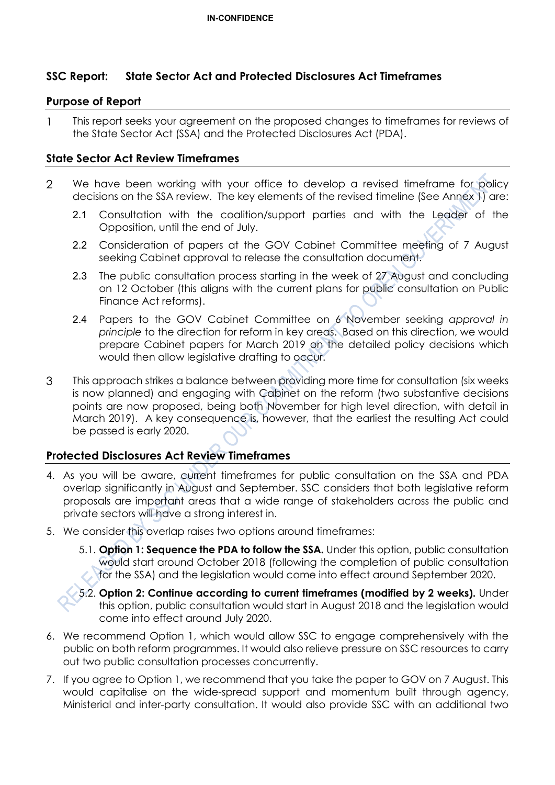# **SSC Report: State Sector Act and Protected Disclosures Act Timeframes**

#### **Purpose of Report**

 $\mathbf{1}$ This report seeks your agreement on the proposed changes to timeframes for reviews of the State Sector Act (SSA) and the Protected Disclosures Act (PDA).

#### **State Sector Act Review Timeframes**

- $\overline{2}$ We have been working with your office to develop a revised timeframe for policy decisions on the SSA review. The key elements of the revised timeline (See Annex 1) are:
	- 2.1 Consultation with the coalition/support parties and with the Leader of the Opposition, until the end of July.
	- 2.2 Consideration of papers at the GOV Cabinet Committee meeting of 7 August seeking Cabinet approval to release the consultation document.
	- 2.3 The public consultation process starting in the week of 27 August and concluding on 12 October (this aligns with the current plans for public consultation on Public Finance Act reforms).
	- 2.4 Papers to the GOV Cabinet Committee on 6 November seeking *approval in principle* to the direction for reform in key areas. Based on this direction, we would prepare Cabinet papers for March 2019 on the detailed policy decisions which would then allow legislative drafting to occur.
- This approach strikes a balance between providing more time for consultation (six weeks 3 is now planned) and engaging with Cabinet on the reform (two substantive decisions points are now proposed, being both November for high level direction, with detail in March 2019). A key consequence is, however, that the earliest the resulting Act could be passed is early 2020.

## **Protected Disclosures Act Review Timeframes**

- 4. As you will be aware, current timeframes for public consultation on the SSA and PDA overlap significantly in August and September. SSC considers that both legislative reform proposals are important areas that a wide range of stakeholders across the public and private sectors will have a strong interest in.
- 5. We consider this overlap raises two options around timeframes:
	- 5.1. **Option 1: Sequence the PDA to follow the SSA.** Under this option, public consultation would start around October 2018 (following the completion of public consultation for the SSA) and the legislation would come into effect around September 2020.
	- 5.2. **Option 2: Continue according to current timeframes (modified by 2 weeks).** Under this option, public consultation would start in August 2018 and the legislation would come into effect around July 2020.
- 6. We recommend Option 1, which would allow SSC to engage comprehensively with the public on both reform programmes. It would also relieve pressure on SSC resources to carry out two public consultation processes concurrently.
- 7. If you agree to Option 1, we recommend that you take the paper to GOV on 7 August. This would capitalise on the wide-spread support and momentum built through agency, Ministerial and inter-party consultation. It would also provide SSC with an additional two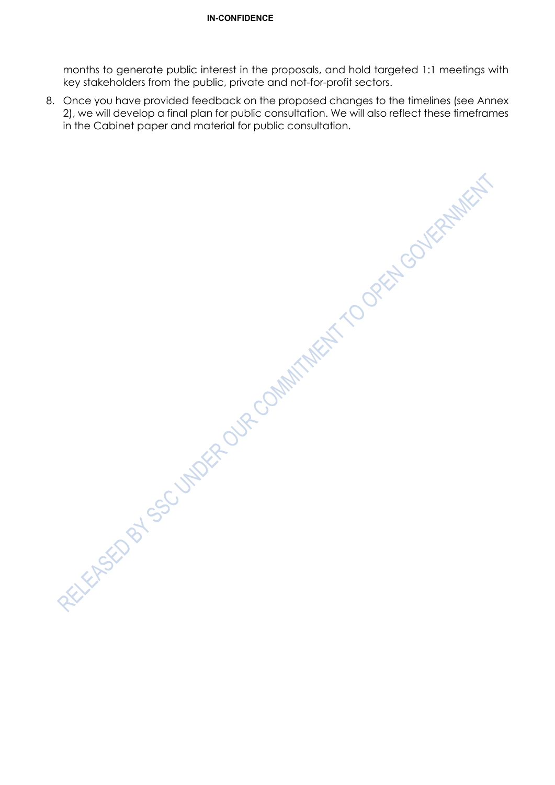months to generate public interest in the proposals, and hold targeted 1:1 meetings with key stakeholders from the public, private and not-for-profit sectors.

8. Once you have provided feedback on the proposed changes to the timelines (see Annex 2), we will develop a final plan for public consultation. We will also reflect these timeframes

in the Cabinet paper and material for public consultation.<br>
The Cabinet paper and material for public consultation.<br>
According to the Consultation of the Consultation.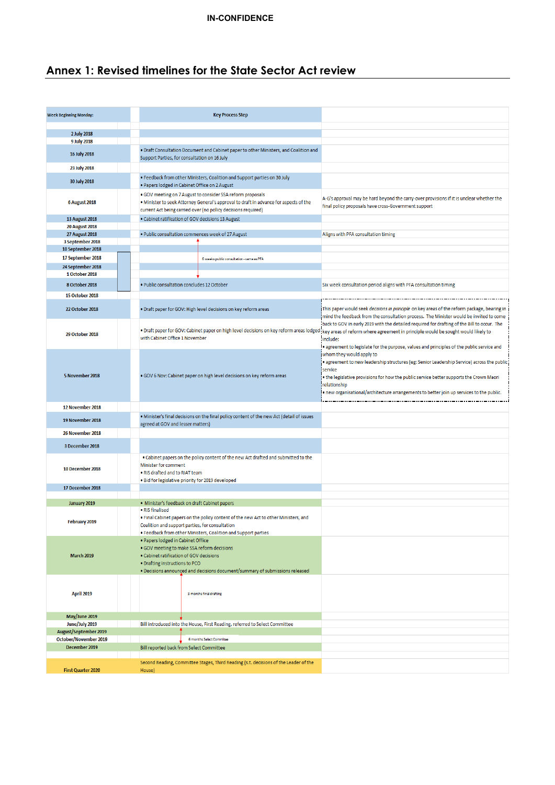# **Annex 1: Revised timelines for the State Sector Act review**

| <b>Week Beginning Monday:</b>                  | <b>Key Process Step</b>                                                                                                                                                                                                                      |                                                                                                                                                                                                                                                                                                                                          |
|------------------------------------------------|----------------------------------------------------------------------------------------------------------------------------------------------------------------------------------------------------------------------------------------------|------------------------------------------------------------------------------------------------------------------------------------------------------------------------------------------------------------------------------------------------------------------------------------------------------------------------------------------|
| 2 July 2018                                    |                                                                                                                                                                                                                                              |                                                                                                                                                                                                                                                                                                                                          |
| 9 July 2018                                    |                                                                                                                                                                                                                                              |                                                                                                                                                                                                                                                                                                                                          |
| 16 July 2018                                   | . Draft Consultation Document and Cabinet paper to other Ministers, and Coalition and<br>Support Parties, for consultation on 16 July                                                                                                        |                                                                                                                                                                                                                                                                                                                                          |
| 23 July 2018                                   |                                                                                                                                                                                                                                              |                                                                                                                                                                                                                                                                                                                                          |
| 30 July 2018                                   | . Feedback from other Ministers, Coalition and Support parties on 30 July<br>. Papers lodged in Cabinet Office on 2 August                                                                                                                   |                                                                                                                                                                                                                                                                                                                                          |
| <b>6 August 2018</b>                           | . GOV meeting on 7 August to consider SSA reform proposals<br>. Minister to seek Attorney General's approval to draft in advance for aspects of the<br>current Act being carried over (no policy decisions required)                         | A-G's approval may be hard beyond the carry-over provisions if it is unclear whether the<br>final policy proposals have cross-Government support                                                                                                                                                                                         |
| 13 August 2018                                 | . Cabinet ratification of GOV decisions 13 August                                                                                                                                                                                            |                                                                                                                                                                                                                                                                                                                                          |
| <b>20 August 2018</b><br><b>27 August 2018</b> | . Public consultation commences week of 27 August                                                                                                                                                                                            | Aligns with PFA consultation timing                                                                                                                                                                                                                                                                                                      |
| 3 September 2018                               |                                                                                                                                                                                                                                              |                                                                                                                                                                                                                                                                                                                                          |
| 10 September 2018                              |                                                                                                                                                                                                                                              |                                                                                                                                                                                                                                                                                                                                          |
| 17 September 2018<br>24 September 2018         | 6 weeks public consultation - same as PFA                                                                                                                                                                                                    |                                                                                                                                                                                                                                                                                                                                          |
| 1 October 2018                                 |                                                                                                                                                                                                                                              |                                                                                                                                                                                                                                                                                                                                          |
| 8 October 2018                                 | · Public consultation concludes 12 October                                                                                                                                                                                                   | Six week consultation period aligns with PFA consultation timing                                                                                                                                                                                                                                                                         |
| <b>15 October 2018</b>                         |                                                                                                                                                                                                                                              |                                                                                                                                                                                                                                                                                                                                          |
| <b>22 October 2018</b>                         | . Draft paper for GOV: High level decisions on key reform areas                                                                                                                                                                              | This paper would seek decisions in principle on key areas of the reform package, bearing in<br>mind the feedback from the consultation process. The Minister would be invited to come                                                                                                                                                    |
| <b>29 October 2018</b>                         | . Draft paper for GOV: Cabinet paper on high level decisions on key reform areas lodged<br>with Cabinet Office 1 November                                                                                                                    | back to GOV in early 2019 with the detailed required for drafting of the Bill to occur. The<br>key areas of reform where agreement in principle would be sought would likely to<br>include:<br>agreement to legislate for the purpose, values and principles of the public service and                                                   |
| 5 November 2018                                | . GOV 6 Nov: Cabinet paper on high level decisions on key reform areas                                                                                                                                                                       | whom they would apply to<br>. agreement to new leadership structures (eg: Senior Leadership Service) across the public<br>service<br>. the legislative provisions for how the public service better supports the Crown Maori<br>relationship<br>• new organisational/architecture arrangements to better join up services to the public. |
| 12 November 2018                               |                                                                                                                                                                                                                                              |                                                                                                                                                                                                                                                                                                                                          |
| 19 November 2018                               | . Minister's final decisions on the final policy content of the new Act (detail of issues<br>agreed at GOV and lesser matters)                                                                                                               |                                                                                                                                                                                                                                                                                                                                          |
| 26 November 2018                               |                                                                                                                                                                                                                                              |                                                                                                                                                                                                                                                                                                                                          |
| 3 December 2018                                |                                                                                                                                                                                                                                              |                                                                                                                                                                                                                                                                                                                                          |
| 10 December 2018                               | . Cabinet papers on the policy content of the new Act drafted and submitted to the<br>Minister for comment<br>. RIS drafted and to RIAT team<br>. Bid for legislative priority for 2019 developed                                            |                                                                                                                                                                                                                                                                                                                                          |
| 17 December 2018                               |                                                                                                                                                                                                                                              |                                                                                                                                                                                                                                                                                                                                          |
| January 2019                                   | · Minister's feedback on draft Cabinet papers                                                                                                                                                                                                |                                                                                                                                                                                                                                                                                                                                          |
| February 2019                                  | • RIS finalised<br>. Final Cabinet papers on the policy content of the new Act to other Ministers, and<br>Coalition and support parties, for consultation<br>. Feedback from other Ministers, Coalition and Support parties                  |                                                                                                                                                                                                                                                                                                                                          |
| <b>March 2019</b>                              | . Papers lodged in Cabinet Office<br>· GOV meeting to make SSA reform decisions<br>. Cabinet ratification of GOV decisions<br>. Drafting instructions to PCO<br>. Decisions announced and decisions document/summary of submissions released |                                                                                                                                                                                                                                                                                                                                          |
| <b>April 2019</b>                              | 3 months final drafting                                                                                                                                                                                                                      |                                                                                                                                                                                                                                                                                                                                          |
| May/June 2019                                  |                                                                                                                                                                                                                                              |                                                                                                                                                                                                                                                                                                                                          |
| June/July 2019<br><b>August/September 2019</b> | Bill introduced into the House, First Reading, referred to Select Committee                                                                                                                                                                  |                                                                                                                                                                                                                                                                                                                                          |
| October/November 2019                          | 6 months Select Commitee                                                                                                                                                                                                                     |                                                                                                                                                                                                                                                                                                                                          |
| December 2019                                  | Bill reported back from Select Committee                                                                                                                                                                                                     |                                                                                                                                                                                                                                                                                                                                          |
|                                                | Second Reading, Committee Stages, Third Reading (s.t. decisions of the Leader of the                                                                                                                                                         |                                                                                                                                                                                                                                                                                                                                          |
| <b>First Quarter 2020</b>                      | House)                                                                                                                                                                                                                                       |                                                                                                                                                                                                                                                                                                                                          |